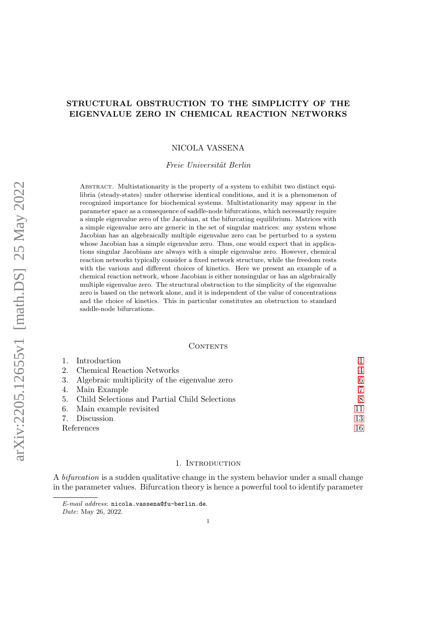# STRUCTURAL OBSTRUCTION TO THE SIMPLICITY OF THE EIGENVALUE ZERO IN CHEMICAL REACTION NETWORKS

NICOLA VASSENA

Freie Universität Berlin

Abstract. Multistationarity is the property of a system to exhibit two distinct equilibria (steady-states) under otherwise identical conditions, and it is a phenomenon of recognized importance for biochemical systems. Multistationarity may appear in the parameter space as a consequence of saddle-node bifurcations, which necessarily require a simple eigenvalue zero of the Jacobian, at the bifurcating equilibrium. Matrices with a simple eigenvalue zero are generic in the set of singular matrices: any system whose Jacobian has an algebraically multiple eigenvalue zero can be perturbed to a system whose Jacobian has a simple eigenvalue zero. Thus, one would expect that in applications singular Jacobians are always with a simple eigenvalue zero. However, chemical reaction networks typically consider a fixed network structure, while the freedom rests with the various and different choices of kinetics. Here we present an example of a chemical reaction network, whose Jacobian is either nonsingular or has an algebraically multiple eigenvalue zero. The structural obstruction to the simplicity of the eigenvalue zero is based on the network alone, and it is independent of the value of concentrations and the choice of kinetics. This in particular constitutes an obstruction to standard saddle-node bifurcations.

#### **CONTENTS**

|            | 1. Introduction                                  |                |
|------------|--------------------------------------------------|----------------|
|            | 2. Chemical Reaction Networks                    | $\overline{4}$ |
|            | 3. Algebraic multiplicity of the eigenvalue zero | 6              |
|            | 4. Main Example                                  | 7              |
|            | 5. Child Selections and Partial Child Selections | 8              |
|            | 6. Main example revisited                        | 11             |
|            | 7. Discussion                                    | 13             |
| References |                                                  | 16             |

#### 1. INTRODUCTION

<span id="page-0-0"></span>A bifurcation is a sudden qualitative change in the system behavior under a small change in the parameter values. Bifurcation theory is hence a powerful tool to identify parameter

E-mail address: nicola.vassena@fu-berlin.de.

Date: May 26, 2022.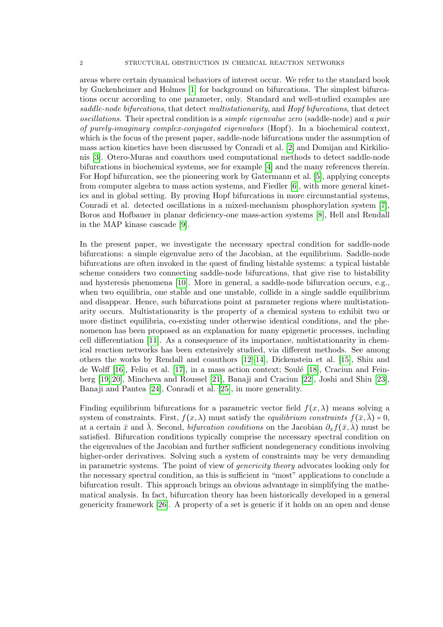areas where certain dynamical behaviors of interest occur. We refer to the standard book by Guckenheimer and Holmes [\[1\]](#page-15-1) for background on bifurcations. The simplest bifurcations occur according to one parameter, only. Standard and well-studied examples are saddle-node bifurcations, that detect multistationarity, and Hopf bifurcations, that detect oscillations. Their spectral condition is a simple eigenvalue zero (saddle-node) and a pair of purely-imaginary complex-conjugated eigenvalues (Hopf). In a biochemical context, which is the focus of the present paper, saddle-node bifurcations under the assumption of mass action kinetics have been discussed by Conradi et al. [\[2\]](#page-15-2) and Domijan and Kirkilionis [\[3\]](#page-16-0). Otero-Muras and coauthors used computational methods to detect saddle-node bifurcations in biochemical systems, see for example [\[4\]](#page-16-1) and the many references therein. For Hopf bifurcation, see the pioneering work by Gatermann et al. [\[5\]](#page-16-2), applying concepts from computer algebra to mass action systems, and Fiedler [\[6\]](#page-16-3), with more general kinetics and in global setting. By proving Hopf bifurcations in more circumstantial systems, Conradi et al. detected oscillations in a mixed-mechanism phosphorylation system [\[7\]](#page-16-4), Boros and Hofbauer in planar deficiency-one mass-action systems [\[8\]](#page-16-5), Hell and Rendall in the MAP kinase cascade [\[9\]](#page-16-6).

In the present paper, we investigate the necessary spectral condition for saddle-node bifurcations: a simple eigenvalue zero of the Jacobian, at the equilibrium. Saddle-node bifurcations are often invoked in the quest of finding bistable systems: a typical bistable scheme considers two connecting saddle-node bifurcations, that give rise to bistability and hysteresis phenomena [\[10\]](#page-16-7). More in general, a saddle-node bifurcation occurs, e.g., when two equilibria, one stable and one unstable, collide in a single saddle equilibrium and disappear. Hence, such bifurcations point at parameter regions where multistationarity occurs. Multistationarity is the property of a chemical system to exhibit two or more distinct equilibria, co-existing under otherwise identical conditions, and the phenomenon has been proposed as an explanation for many epigenetic processes, including cell differentiation [\[11\]](#page-16-8). As a consequence of its importance, multistationarity in chemical reaction networks has been extensively studied, via different methods. See among others the works by Rendall and coauthors [\[12](#page-16-9)[–14\]](#page-16-10), Dickenstein et al. [\[15\]](#page-16-11), Shiu and de Wolff  $[16]$ , Feliu et al.  $[17]$ , in a mass action context; Soulé  $[18]$ , Craciun and Feinberg [\[19,](#page-16-15) [20\]](#page-16-16), Mincheva and Roussel [\[21\]](#page-16-17), Banaji and Craciun [\[22\]](#page-16-18), Joshi and Shiu [\[23\]](#page-16-19), Banaji and Pantea [\[24\]](#page-16-20), Conradi et al. [\[25\]](#page-16-21), in more generality.

Finding equilibrium bifurcations for a parametric vector field  $f(x, \lambda)$  means solving a system of constraints. First,  $f(x, \lambda)$  must satisfy the *equilibrium constraints*  $f(\bar{x}, \lambda) = 0$ , at a certain  $\bar{x}$  and  $\bar{\lambda}$ . Second, *bifurcation conditions* on the Jacobian  $\partial_x f(\bar{x}, \bar{\lambda})$  must be satisfied. Bifurcation conditions typically comprise the necessary spectral condition on the eigenvalues of the Jacobian and further sufficient nondegeneracy conditions involving higher-order derivatives. Solving such a system of constraints may be very demanding in parametric systems. The point of view of genericity theory advocates looking only for the necessary spectral condition, as this is sufficient in "most" applications to conclude a bifurcation result. This approach brings an obvious advantage in simplifying the mathematical analysis. In fact, bifurcation theory has been historically developed in a general genericity framework [\[26\]](#page-16-22). A property of a set is generic if it holds on an open and dense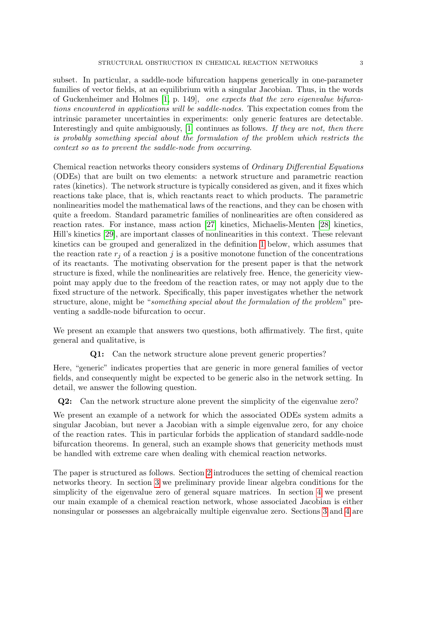subset. In particular, a saddle-node bifurcation happens generically in one-parameter families of vector fields, at an equilibrium with a singular Jacobian. Thus, in the words of Guckenheimer and Holmes [\[1,](#page-15-1) p. 149], one expects that the zero eigenvalue bifurcations encountered in applications will be saddle-nodes. This expectation comes from the intrinsic parameter uncertainties in experiments: only generic features are detectable. Interestingly and quite ambiguously, [\[1\]](#page-15-1) continues as follows. If they are not, then there is probably something special about the formulation of the problem which restricts the context so as to prevent the saddle-node from occurring.

Chemical reaction networks theory considers systems of Ordinary Differential Equations (ODEs) that are built on two elements: a network structure and parametric reaction rates (kinetics). The network structure is typically considered as given, and it fixes which reactions take place, that is, which reactants react to which products. The parametric nonlinearities model the mathematical laws of the reactions, and they can be chosen with quite a freedom. Standard parametric families of nonlinearities are often considered as reaction rates. For instance, mass action [\[27\]](#page-17-0) kinetics, Michaelis-Menten [\[28\]](#page-17-1) kinetics, Hill's kinetics [\[29\]](#page-17-2), are important classes of nonlinearities in this context. These relevant kinetics can be grouped and generalized in the definition [1](#page-4-0) below, which assumes that the reaction rate  $r_i$  of a reaction j is a positive monotone function of the concentrations of its reactants. The motivating observation for the present paper is that the network structure is fixed, while the nonlinearities are relatively free. Hence, the genericity viewpoint may apply due to the freedom of the reaction rates, or may not apply due to the fixed structure of the network. Specifically, this paper investigates whether the network structure, alone, might be "something special about the formulation of the problem" preventing a saddle-node bifurcation to occur.

We present an example that answers two questions, both affirmatively. The first, quite general and qualitative, is

Q1: Can the network structure alone prevent generic properties?

Here, "generic" indicates properties that are generic in more general families of vector fields, and consequently might be expected to be generic also in the network setting. In detail, we answer the following question.

Q2: Can the network structure alone prevent the simplicity of the eigenvalue zero?

We present an example of a network for which the associated ODEs system admits a singular Jacobian, but never a Jacobian with a simple eigenvalue zero, for any choice of the reaction rates. This in particular forbids the application of standard saddle-node bifurcation theorems. In general, such an example shows that genericity methods must be handled with extreme care when dealing with chemical reaction networks.

The paper is structured as follows. Section [2](#page-3-0) introduces the setting of chemical reaction networks theory. In section [3](#page-5-0) we preliminary provide linear algebra conditions for the simplicity of the eigenvalue zero of general square matrices. In section [4](#page-6-0) we present our main example of a chemical reaction network, whose associated Jacobian is either nonsingular or possesses an algebraically multiple eigenvalue zero. Sections [3](#page-5-0) and [4](#page-6-0) are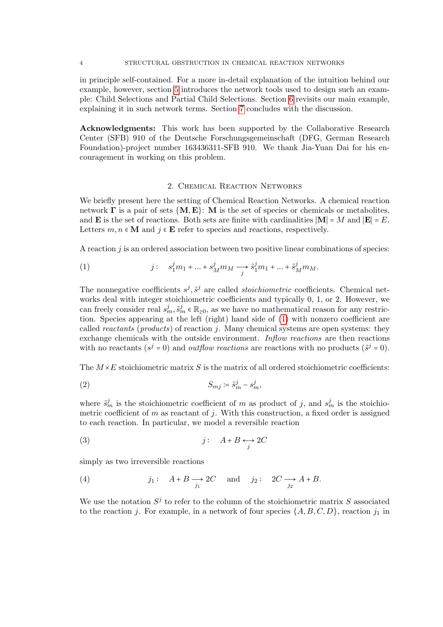4 STRUCTURAL OBSTRUCTION IN CHEMICAL REACTION NETWORKS

in principle self-contained. For a more in-detail explanation of the intuition behind our example, however, section [5](#page-7-0) introduces the network tools used to design such an example: Child Selections and Partial Child Selections. Section [6](#page-10-0) revisits our main example, explaining it in such network terms. Section [7](#page-12-0) concludes with the discussion.

Acknowledgments: This work has been supported by the Collaborative Research Center (SFB) 910 of the Deutsche Forschungsgemeinschaft (DFG, German Research Foundation)-project number 163436311-SFB 910. We thank Jia-Yuan Dai for his encouragement in working on this problem.

## 2. Chemical Reaction Networks

<span id="page-3-0"></span>We briefly present here the setting of Chemical Reaction Networks. A chemical reaction network  $\Gamma$  is a pair of sets  $\{M, E\}$ : M is the set of species or chemicals or metabolites, and **E** is the set of reactions. Both sets are finite with cardinalities  $|\mathbf{M}| = M$  and  $|\mathbf{E}| = E$ . Letters  $m, n \in \mathbf{M}$  and  $j \in \mathbf{E}$  refer to species and reactions, respectively.

A reaction  $j$  is an ordered association between two positive linear combinations of species:

<span id="page-3-1"></span>(1) 
$$
j: s_1^j m_1 + \dots + s_M^j m_M \longrightarrow \tilde{s}_1^j m_1 + \dots + \tilde{s}_M^j m_M.
$$

The nonnegative coefficients  $s^j$ ,  $\tilde{s}^j$  are called *stoichiometric* coefficients. Chemical networks deal with integer stoichiometric coefficients and typically 0, 1, or 2. However, we can freely consider real  $s_m^j$ ,  $\tilde{s}_m^j \in \mathbb{R}_{\geq 0}$ , as we have no mathematical reason for any restriction. Species appearing at the left (right) hand side of [\(1\)](#page-3-1) with nonzero coefficient are called *reactants* (*products*) of reaction j. Many chemical systems are open systems: they exchange chemicals with the outside environment. Inflow reactions are then reactions with no reactants  $(s^j = 0)$  and *outflow reactions* are reactions with no products  $(\tilde{s}^j = 0)$ .

<span id="page-3-3"></span>The  $M\times E$  stoichiometric matrix S is the matrix of all ordered stoichiometric coefficients:

$$
(2) \t S_{mj} := \tilde{s}_m^j - s_m^j,
$$

where  $\tilde{s}_m^j$  is the stoichiometric coefficient of m as product of j, and  $s_m^j$  is the stoichiometric coefficient of  $m$  as reactant of  $j$ . With this construction, a fixed order is assigned to each reaction. In particular, we model a reversible reaction

$$
(3) \t\t j: A+B \leftrightarrow 2C
$$

simply as two irreversible reactions

<span id="page-3-2"></span>(4) 
$$
j_1: A+B \longrightarrow 2C
$$
 and  $j_2: 2C \longrightarrow A+B$ .

We use the notation  $S^j$  to refer to the column of the stoichiometric matrix S associated to the reaction j. For example, in a network of four species  $\{A, B, C, D\}$ , reaction j<sub>1</sub> in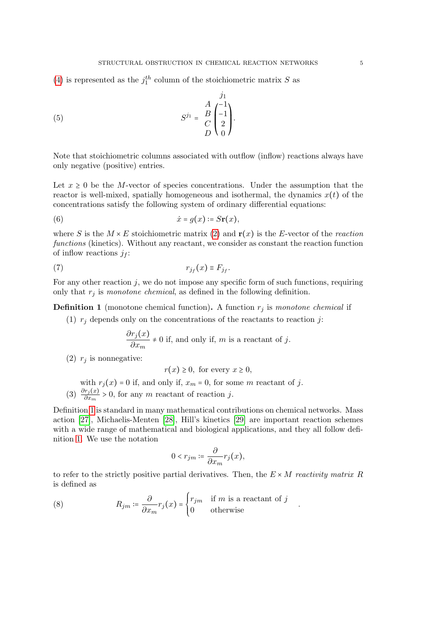[\(4\)](#page-3-2) is represented as the  $j_1^{th}$  column of the stoichiometric matrix S as

(5) 
$$
S^{j_1} = \frac{A}{C} \begin{pmatrix} j_1 \\ -1 \\ 2 \\ D \end{pmatrix}.
$$

Note that stoichiometric columns associated with outflow (inflow) reactions always have only negative (positive) entries.

Let  $x \geq 0$  be the M-vector of species concentrations. Under the assumption that the reactor is well-mixed, spatially homogeneous and isothermal, the dynamics  $x(t)$  of the concentrations satisfy the following system of ordinary differential equations:

<span id="page-4-1"></span>(6) 
$$
\dot{x} = g(x) \coloneqq S\mathbf{r}(x),
$$

where S is the  $M \times E$  stoichiometric matrix [\(2\)](#page-3-3) and  $\mathbf{r}(x)$  is the E-vector of the reaction functions (kinetics). Without any reactant, we consider as constant the reaction function of inflow reactions  $j_f$ :

(7) rj<sup>f</sup> (x) <sup>≡</sup> <sup>F</sup>j<sup>f</sup> .

For any other reaction  $j$ , we do not impose any specific form of such functions, requiring only that  $r_j$  is monotone chemical, as defined in the following definition.

<span id="page-4-0"></span>**Definition 1** (monotone chemical function). A function  $r_j$  is monotone chemical if

(1)  $r_j$  depends only on the concentrations of the reactants to reaction j:

$$
\frac{\partial r_j(x)}{\partial x_m} \neq 0
$$
 if, and only if, m is a reactant of j.

(2)  $r_i$  is nonnegative:

 $r(x) > 0$ , for every  $x \geq 0$ ,

with  $r_j(x) = 0$  if, and only if,  $x_m = 0$ , for some m reactant of j. (3)  $\frac{\partial r_j(x)}{\partial x_m} > 0$ , for any m reactant of reaction j.

Definition [1](#page-4-0) is standard in many mathematical contributions on chemical networks. Mass action [\[27\]](#page-17-0), Michaelis-Menten [\[28\]](#page-17-1), Hill's kinetics [\[29\]](#page-17-2) are important reaction schemes with a wide range of mathematical and biological applications, and they all follow definition [1.](#page-4-0) We use the notation

$$
0 < r_{jm} \coloneqq \frac{\partial}{\partial x_m} r_j(x),
$$

to refer to the strictly positive partial derivatives. Then, the  $E \times M$  reactivity matrix R is defined as

.

<span id="page-4-2"></span>(8) 
$$
R_{jm} \coloneqq \frac{\partial}{\partial x_m} r_j(x) = \begin{cases} r_{jm} & \text{if } m \text{ is a reactant of } j \\ 0 & \text{otherwise} \end{cases}
$$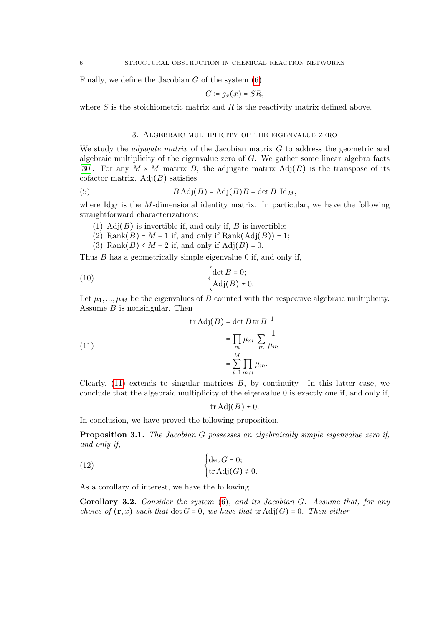Finally, we define the Jacobian  $G$  of the system  $(6)$ ,

$$
G\coloneqq g_x(x)=SR,
$$

where  $S$  is the stoichiometric matrix and  $R$  is the reactivity matrix defined above.

#### 3. Algebraic multiplicity of the eigenvalue zero

<span id="page-5-0"></span>We study the *adjugate matrix* of the Jacobian matrix  $G$  to address the geometric and algebraic multiplicity of the eigenvalue zero of G. We gather some linear algebra facts [\[30\]](#page-17-3). For any  $M \times M$  matrix B, the adjugate matrix  $\text{Adj}(B)$  is the transpose of its cofactor matrix.  $Adj(B)$  satisfies

(9) 
$$
B \text{Adj}(B) = \text{Adj}(B)B = \det B \text{ Id}_M,
$$

where  $\mathrm{Id}_M$  is the M-dimensional identity matrix. In particular, we have the following straightforward characterizations:

- (1)  $\text{Adj}(B)$  is invertible if, and only if, B is invertible;
- (2) Rank $(B) = M 1$  if, and only if Rank $(Adj(B)) = 1$ ;
- (3) Rank $(B) \leq M 2$  if, and only if  $Adj(B) = 0$ .

Thus B has a geometrically simple eigenvalue 0 if, and only if,

(10) 
$$
\begin{cases} \det B = 0; \\ \mathrm{Adj}(B) \neq 0. \end{cases}
$$

Let  $\mu_1, ..., \mu_M$  be the eigenvalues of B counted with the respective algebraic multiplicity. Assume  $B$  is nonsingular. Then

<span id="page-5-1"></span>(11)  

$$
\operatorname{tr} \operatorname{Adj}(B) = \det B \operatorname{tr} B^{-1}
$$

$$
= \prod_{m} \mu_m \sum_{m} \frac{1}{\mu_m}
$$

$$
= \sum_{i=1}^{M} \prod_{m \neq i} \mu_m.
$$

Clearly,  $(11)$  extends to singular matrices  $B$ , by continuity. In this latter case, we conclude that the algebraic multiplicity of the eigenvalue 0 is exactly one if, and only if,

$$
\operatorname{tr} \operatorname{Adj}(B) \neq 0.
$$

In conclusion, we have proved the following proposition.

<span id="page-5-3"></span>Proposition 3.1. The Jacobian G possesses an algebraically simple eigenvalue zero if, and only if,

(12) 
$$
\begin{cases} \det G = 0; \\ \operatorname{tr} \operatorname{Adj}(G) \neq 0. \end{cases}
$$

As a corollary of interest, we have the following.

<span id="page-5-2"></span>**Corollary 3.2.** Consider the system  $(6)$ , and its Jacobian G. Assume that, for any choice of  $(\mathbf{r},x)$  such that  $\det G = 0$ , we have that  $\mathrm{tr} \, \mathrm{Adj}(G) = 0$ . Then either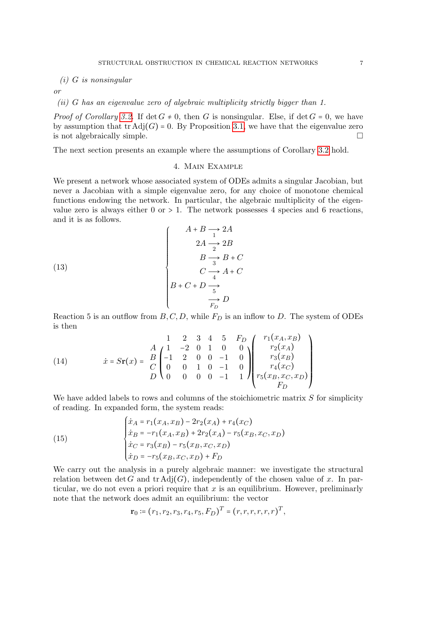$(i)$  G is nonsingular

or

# (ii) G has an eigenvalue zero of algebraic multiplicity strictly bigger than 1.

*Proof of Corollary [3.2.](#page-5-2)* If  $\det G \neq 0$ , then G is nonsingular. Else, if  $\det G = 0$ , we have by assumption that  $tr \text{Adj}(G) = 0$ . By Proposition [3.1,](#page-5-3) we have that the eigenvalue zero is not algebraically simple. is not algebraically simple.

<span id="page-6-0"></span>The next section presents an example where the assumptions of Corollary [3.2](#page-5-2) hold.

### 4. Main Example

We present a network whose associated system of ODEs admits a singular Jacobian, but never a Jacobian with a simple eigenvalue zero, for any choice of monotone chemical functions endowing the network. In particular, the algebraic multiplicity of the eigenvalue zero is always either  $0$  or  $> 1$ . The network possesses 4 species and 6 reactions, and it is as follows.

(13)  

$$
\begin{cases}\nA+B \to 2A \\
2A \to 2B \\
B \to B+C \\
C \to A+C \\
B+C+D \to \\
\hline\n\frac{5}{F_D}D\n\end{cases}
$$

Reaction 5 is an outflow from  $B, C, D$ , while  $F_D$  is an inflow to D. The system of ODEs is then

(14) 
$$
\dot{x} = S\mathbf{r}(x) = \begin{pmatrix} 1 & 2 & 3 & 4 & 5 & F_D \\ A & 1 & -2 & 0 & 1 & 0 & 0 \\ C & -1 & 2 & 0 & 0 & -1 & 0 \\ C & 0 & 0 & 1 & 0 & -1 & 0 \\ D & 0 & 0 & 0 & 0 & -1 & 1 \end{pmatrix} \begin{pmatrix} r_1(x_A, x_B) \\ r_2(x_A) \\ r_3(x_B) \\ r_4(x_C) \\ r_5(x_B, x_C, x_D) \\ F_D \end{pmatrix}
$$

We have added labels to rows and columns of the stoichiometric matrix  $S$  for simplicity of reading. In expanded form, the system reads:

<span id="page-6-1"></span>(15)  

$$
\begin{cases}\n\dot{x}_A = r_1(x_A, x_B) - 2r_2(x_A) + r_4(x_C) \\
\dot{x}_B = -r_1(x_A, x_B) + 2r_2(x_A) - r_5(x_B, x_C, x_D) \\
\dot{x}_C = r_3(x_B) - r_5(x_B, x_C, x_D) \\
\dot{x}_D = -r_5(x_B, x_C, x_D) + F_D\n\end{cases}
$$

We carry out the analysis in a purely algebraic manner: we investigate the structural relation between det G and tr Adj $(G)$ , independently of the chosen value of x. In particular, we do not even a priori require that  $x$  is an equilibrium. However, preliminarly note that the network does admit an equilibrium: the vector

$$
\mathbf{r}_0 \coloneqq (r_1, r_2, r_3, r_4, r_5, F_D)^T = (r, r, r, r, r, r)^T,
$$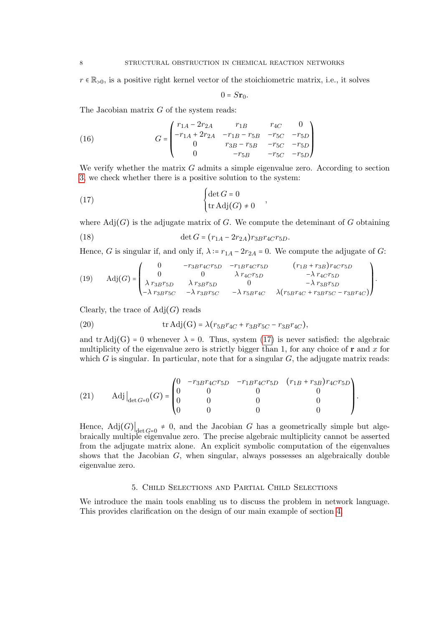$r \in \mathbb{R}_{>0}$ , is a positive right kernel vector of the stoichiometric matrix, i.e., it solves

<span id="page-7-1"></span>
$$
0 = S\mathbf{r}_0.
$$

The Jacobian matrix  $G$  of the system reads:

(16) 
$$
G = \begin{pmatrix} r_{1A} - 2r_{2A} & r_{1B} & r_{4C} & 0 \\ -r_{1A} + 2r_{2A} & -r_{1B} - r_{5B} & -r_{5C} & -r_{5D} \\ 0 & r_{3B} - r_{5B} & -r_{5C} & -r_{5D} \\ 0 & -r_{5B} & -r_{5C} & -r_{5D} \end{pmatrix}
$$

We verify whether the matrix  $G$  admits a simple eigenvalue zero. According to section [3,](#page-5-0) we check whether there is a positive solution to the system:

(17) 
$$
\begin{cases} \det G = 0 \\ \operatorname{tr} \operatorname{Adj}(G) \neq 0 \end{cases}
$$

where  $\text{Adj}(G)$  is the adjugate matrix of G. We compute the deteminant of G obtaining

(18) 
$$
\det G = (r_{1A} - 2r_{2A})r_{3B}r_{4C}r_{5D}.
$$

Hence, G is singular if, and only if,  $\lambda = r_{1A} - 2r_{2A} = 0$ . We compute the adjugate of G:

(19) 
$$
\text{Adj}(G) = \begin{pmatrix} 0 & -r_{3B}r_{4C}r_{5D} & -r_{1B}r_{4C}r_{5D} & (r_{1B} + r_{3B})r_{4C}r_{5D} \\ 0 & 0 & \lambda r_{4C}r_{5D} & -\lambda r_{4C}r_{5D} \\ \lambda r_{3B}r_{5D} & \lambda r_{3B}r_{5D} & 0 & -\lambda r_{3B}r_{5D} \\ -\lambda r_{3B}r_{5C} & -\lambda r_{3B}r_{5C} & -\lambda r_{5B}r_{4C} & \lambda(r_{5B}r_{4C} + r_{3B}r_{5C} - r_{3B}r_{4C}) \end{pmatrix}.
$$

Clearly, the trace of  $\text{Adj}(G)$  reads

(20) 
$$
\text{tr}\,\text{Adj}(G) = \lambda (r_{5B}r_{4C} + r_{3B}r_{5C} - r_{3B}r_{4C}),
$$

and tr Adj(G) = 0 whenever  $\lambda$  = 0. Thus, system [\(17\)](#page-7-1) is never satisfied: the algebraic multiplicity of the eigenvalue zero is strictly bigger than 1, for any choice of  $\mathbf r$  and x for which G is singular. In particular, note that for a singular  $G$ , the adjugate matrix reads:

(21) 
$$
\text{Adj}\Big|_{\det G=0}(G) = \begin{pmatrix} 0 & -r_{3B}r_{4C}r_{5D} & -r_{1B}r_{4C}r_{5D} & (r_{1B} + r_{3B})r_{4C}r_{5D} \\ 0 & 0 & 0 & 0 \\ 0 & 0 & 0 & 0 \end{pmatrix}.
$$

Hence,  $\text{Adj}(G) \big|_{\det G = 0} \neq 0$ , and the Jacobian G has a geometrically simple but algebraically multiple eigenvalue zero. The precise algebraic multiplicity cannot be asserted from the adjugate matrix alone. An explicit symbolic computation of the eigenvalues shows that the Jacobian G, when singular, always possesses an algebraically double eigenvalue zero.

## 5. Child Selections and Partial Child Selections

<span id="page-7-0"></span>We introduce the main tools enabling us to discuss the problem in network language. This provides clarification on the design of our main example of section [4.](#page-6-0)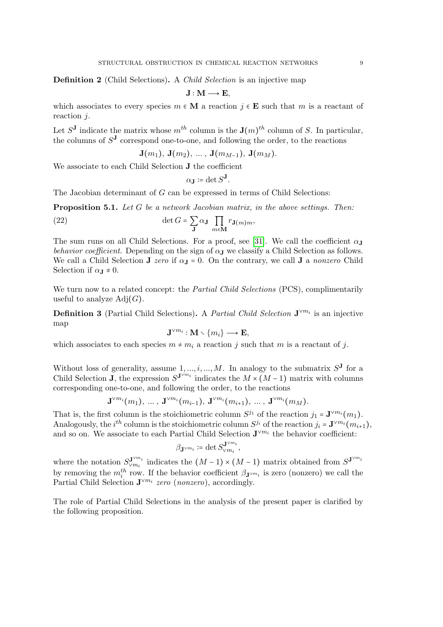Definition 2 (Child Selections). A Child Selection is an injective map

$$
J: M \longrightarrow E,
$$

which associates to every species  $m \in \mathbf{M}$  a reaction  $j \in \mathbf{E}$  such that m is a reactant of reaction  $i$ .

Let  $S^J$  indicate the matrix whose  $m^{th}$  column is the  $J(m)^{th}$  column of S. In particular, the columns of  $S^J$  correspond one-to-one, and following the order, to the reactions

$$
\mathbf{J}(m_1),\,\mathbf{J}(m_2),\,\ldots,\,\mathbf{J}(m_{M-1}),\,\mathbf{J}(m_M).
$$

We associate to each Child Selection J the coefficient

$$
\alpha_{\mathbf{J}} \coloneqq \det S^{\mathbf{J}}.
$$

The Jacobian determinant of G can be expressed in terms of Child Selections:

<span id="page-8-0"></span>Proposition 5.1. Let G be a network Jacobian matrix, in the above settings. Then:

(22) 
$$
\det G = \sum_{\mathbf{J}} \alpha_{\mathbf{J}} \prod_{m \in \mathbf{M}} r_{\mathbf{J}(m)m},
$$

The sum runs on all Child Selections. For a proof, see [\[31\]](#page-17-4). We call the coefficient  $\alpha_{\rm J}$ behavior coefficient. Depending on the sign of  $\alpha_{J}$  we classify a Child Selection as follows. We call a Child Selection J zero if  $\alpha_{J} = 0$ . On the contrary, we call J a nonzero Child Selection if  $\alpha_{J} \neq 0$ .

We turn now to a related concept: the *Partial Child Selections* (PCS), complimentarily useful to analyze  $\text{Adj}(G)$ .

**Definition 3** (Partial Child Selections). A *Partial Child Selection*  $J^{\vee m_i}$  is an injective map

$$
\mathbf{J}^{\vee m_i}: \mathbf{M} \smallsetminus \{m_i\} \longrightarrow \mathbf{E},
$$

which associates to each species  $m \neq m_i$  a reaction j such that m is a reactant of j.

Without loss of generality, assume  $1, ..., i, ..., M$ . In analogy to the submatrix  $S^{\mathbf{J}}$  for a Child Selection **J**, the expression  $S^{\mathbf{J}^{\vee m_i}}$  indicates the  $M \times (M-1)$  matrix with columns corresponding one-to-one, and following the order, to the reactions

$$
\mathbf{J}^{\vee m_i}(m_1),\;...\;,\;\mathbf{J}^{\vee m_i}(m_{i-1}),\;\mathbf{J}^{\vee m_i}(m_{i+1}),\;...\;,\;\mathbf{J}^{\vee m_i}(m_M).
$$

That is, the first column is the stoichiometric column  $S^{j_1}$  of the reaction  $j_1 = \mathbf{J}^{\vee m_i}(m_1)$ . Analogously, the *i*<sup>th</sup> column is the stoichiometric column  $S^{j_i}$  of the reaction  $j_i = \mathbf{J}^{\vee m_i}(m_{i+1}),$ and so on. We associate to each Partial Child Selection  $J^{\vee m_i}$  the behavior coefficient:

$$
\beta_{\mathbf{J}^{\vee m_i}} \coloneqq \det S_{\vee m_i}^{\mathbf{J}^{\vee m_i}},
$$

where the notation  $S_{\vee m_i}^{\mathbf{J}^{\vee m_i}}$  $\mathbf{J}^{\vee m_i}$  indicates the  $(M-1) \times (M-1)$  matrix obtained from  $S^{\mathbf{J}^{\vee m_i}}$ by removing the  $m_i^{th}$  row. If the behavior coefficient  $\beta_{\mathbf{J}^{\vee m_i}}$  is zero (nonzero) we call the Partial Child Selection  $J^{\vee m_i}$  zero (nonzero), accordingly.

The role of Partial Child Selections in the analysis of the present paper is clarified by the following proposition.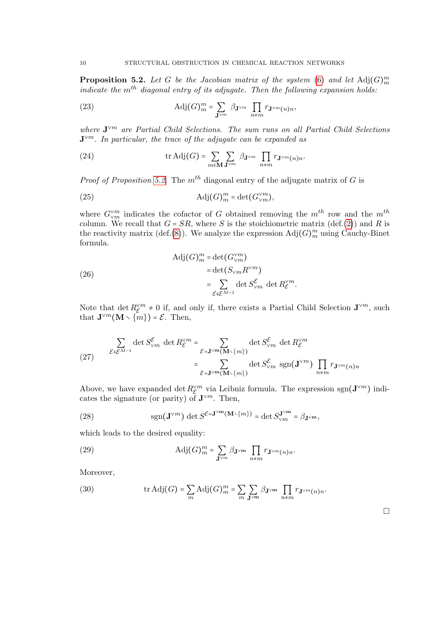<span id="page-9-0"></span>**Proposition 5.2.** Let G be the Jacobian matrix of the system [\(6\)](#page-4-1) and let  $\text{Adj}(G)_{m}^{m}$ indicate the  $m<sup>th</sup>$  diagonal entry of its adjugate. Then the following expansion holds:

(23) 
$$
\text{Adj}(G)_m^m = \sum_{\mathbf{J}^{\vee m}} \beta_{\mathbf{J}^{\vee m}} \prod_{n \neq m} r_{\mathbf{J}^{\vee m}(n)n},
$$

where  $J^{\vee m}$  are Partial Child Selections. The sum runs on all Partial Child Selections  $\mathbf{J}^{\vee m}$ . In particular, the trace of the adjugate can be expanded as

(24) 
$$
\operatorname{tr} \operatorname{Adj}(G) = \sum_{m \in \mathbf{M}} \sum_{\mathbf{J}^{\vee m}} \beta_{\mathbf{J}^{\vee m}} \prod_{n \neq m} r_{\mathbf{J}^{\vee m}(n)n}.
$$

*Proof of Proposition [5.2.](#page-9-0)* The  $m<sup>th</sup>$  diagonal entry of the adjugate matrix of G is

(25) 
$$
\text{Adj}(G)_m^m = \det(G_{\vee m}^{\vee m}),
$$

where  $G_{\vee m}^{w}$  indicates the cofactor of G obtained removing the  $m^{th}$  row and the  $m^{th}$ column. We recall that  $G = SR$ , where S is the stoichiometric matrix (def.[\(2\)](#page-3-3)) and R is<br>the reactivity matrix (def.(9)). We analyze the aumessian  $Ad(G)$ <sup>m</sup> vaing Gauchy Binat the reactivity matrix (def.[\(8\)](#page-4-2)). We analyze the expression  $\text{Adj}(G)_m^m$  using Cauchy-Binet formula.

(26)  
\n
$$
\operatorname{Adj}(G)^{m}_{m} = \det(G^{\vee m}_{\vee m})
$$
\n
$$
= \det(S_{\vee m} R^{\vee m})
$$
\n
$$
= \sum_{\mathcal{E} \in \mathcal{E}^{M-1}} \det S^{\mathcal{E}}_{\vee m} \det R^{\vee m}_{\mathcal{E}}
$$

Note that det  $R_{\mathcal{E}}^{\vee m} \neq 0$  if, and only if, there exists a Partial Child Selection  $\mathbf{J}^{\vee m}$ , such that  $\mathbf{J}^{\vee m}(\mathbf{M})$ ,  $\in \mathbb{R}$  Then that  $\mathbf{J}^{\vee m}(\mathbf{M} \setminus \{m\}) = \mathcal{E}$ . Then,

.

(27) 
$$
\sum_{\mathcal{E} \in \mathcal{E}^{M-1}} \det S_{\vee m}^{\mathcal{E}} \det R_{\mathcal{E}}^{\vee m} = \sum_{\mathcal{E} = \mathbf{J}^{\vee m}(\mathbf{M} \setminus \{m\})} \det S_{\vee m}^{\mathcal{E}} \det R_{\mathcal{E}}^{\vee m}
$$

$$
= \sum_{\mathcal{E} = \mathbf{J}^{\vee m}(\mathbf{M} \setminus \{m\})} \det S_{\vee m}^{\mathcal{E}} \operatorname{sgn}(\mathbf{J}^{\vee m}) \prod_{n \neq m} r_{\mathbf{J}^{\vee m}(n)n}
$$

Above, we have expanded det  $R_{\mathcal{E}}^{\vee m}$  via Leibniz formula. The expression sgn $(\mathbf{J}^{\vee m})$  indicates the signature (or parity) of  $\mathbf{J}^{\vee m}$ . Then,

(28) 
$$
\text{sgn}(\mathbf{J}^{\vee m}) \det S^{\mathcal{E}=\mathbf{J}^{\vee m}(\mathbf{M}\setminus\{m\})} = \det S^{\mathbf{J}^{\vee m}}_{\vee m} = \beta_{\mathbf{J}^{\vee m}},
$$

which leads to the desired equality:

(29) 
$$
\text{Adj}(G)_m^m = \sum_{\mathbf{J}^{\vee m}} \beta_{\mathbf{J}^{\vee m}} \prod_{n \neq m} r_{\mathbf{J}^{\vee m}(n)n}.
$$

Moreover,

(30) 
$$
\operatorname{tr} \operatorname{Adj}(G) = \sum_{m} \operatorname{Adj}(G)_{m}^{m} = \sum_{m} \sum_{\mathbf{J}^{\vee m}} \beta_{\mathbf{J}^{\vee m}} \prod_{n \neq m} r_{\mathbf{J}^{\vee m}(n)n}.
$$

 $\Box$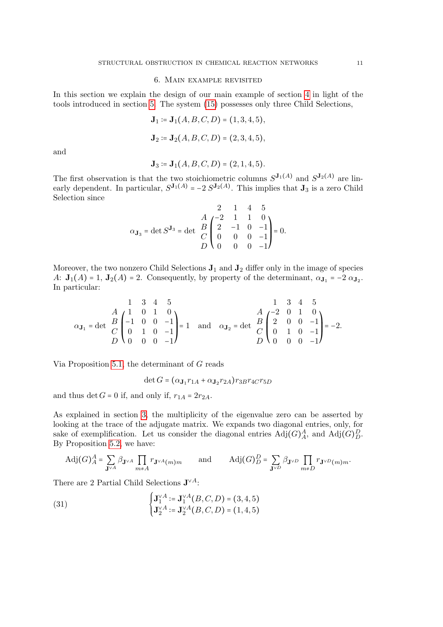#### 6. Main example revisited

<span id="page-10-0"></span>In this section we explain the design of our main example of section [4](#page-6-0) in light of the tools introduced in section [5.](#page-7-0) The system [\(15\)](#page-6-1) possesses only three Child Selections,

$$
\mathbf{J}_1 := \mathbf{J}_1(A, B, C, D) = (1, 3, 4, 5),
$$
  

$$
\mathbf{J}_2 := \mathbf{J}_2(A, B, C, D) = (2, 3, 4, 5),
$$

and

$$
\mathbf{J}_3 \coloneqq \mathbf{J}_1(A, B, C, D) = (2, 1, 4, 5).
$$

The first observation is that the two stoichiometric columns  $S^{J_1(A)}$  and  $S^{J_2(A)}$  are linearly dependent. In particular,  $S^{J_1(A)} = -2 S^{J_2(A)}$ . This implies that  $J_3$  is a zero Child Selection since

$$
\alpha_{\mathbf{J}_3} = \det S^{\mathbf{J}_3} = \det \begin{array}{ccc} & 2 & 1 & 4 & 5 \\ A & -2 & 1 & 1 & 0 \\ B & 2 & -1 & 0 & -1 \\ C & 0 & 0 & 0 & -1 \\ D & 0 & 0 & 0 & -1 \end{array} = 0.
$$

Moreover, the two nonzero Child Selections  $J_1$  and  $J_2$  differ only in the image of species A:  $\mathbf{J}_1(A) = 1$ ,  $\mathbf{J}_2(A) = 2$ . Consequently, by property of the determinant,  $\alpha_{\mathbf{J}_1} = -2 \alpha_{\mathbf{J}_2}$ . In particular:

$$
\alpha_{\mathbf{J}_1} = \det \begin{array}{cccc} & 1 & 3 & 4 & 5 \\ A & 1 & 0 & 1 & 0 \\ B & -1 & 0 & 0 & -1 \\ C & 0 & 1 & 0 & -1 \\ D & 0 & 0 & 0 & -1 \end{array} = 1 \text{ and } \alpha_{\mathbf{J}_2} = \det \begin{array}{cccc} & 1 & 3 & 4 & 5 \\ A & -2 & 0 & 1 & 0 \\ B & 2 & 0 & 0 & -1 \\ C & 0 & 1 & 0 & -1 \\ D & 0 & 0 & 0 & -1 \end{array} = -2.
$$

Via Proposition [5.1,](#page-8-0) the determinant of G reads

$$
\det G = (\alpha_{\mathbf{J}_1} r_{1A} + \alpha_{\mathbf{J}_2} r_{2A}) r_{3B} r_{4C} r_{5D}
$$

and thus det  $G = 0$  if, and only if,  $r_{1A} = 2r_{2A}$ .

As explained in section [3,](#page-5-0) the multiplicity of the eigenvalue zero can be asserted by looking at the trace of the adjugate matrix. We expands two diagonal entries, only, for sake of exemplification. Let us consider the diagonal entries  $\text{Adj}(G)_A^A$ , and  $\text{Adj}(G)_D^D$ . By Proposition [5.2,](#page-9-0) we have:

$$
\mathrm{Adj}(G)^\mathcal{A}_A = \sum_{\mathbf{J}^{\vee A}} \beta_{\mathbf{J}^{\vee A}} \prod_{m \neq A} r_{\mathbf{J}^{\vee A}(m)m} \qquad \text{and} \qquad \mathrm{Adj}(G)^\mathcal{D}_D = \sum_{\mathbf{J}^{\vee D}} \beta_{\mathbf{J}^{\vee D}} \prod_{m \neq D} r_{\mathbf{J}^{\vee D}(m)m}.
$$

There are 2 Partial Child Selections  $J^{\vee A}$ :

(31) 
$$
\begin{cases} \mathbf{J}_{1}^{\vee A} := \mathbf{J}_{1}^{\vee A}(B, C, D) = (3, 4, 5) \\ \mathbf{J}_{2}^{\vee A} := \mathbf{J}_{2}^{\vee A}(B, C, D) = (1, 4, 5) \end{cases}
$$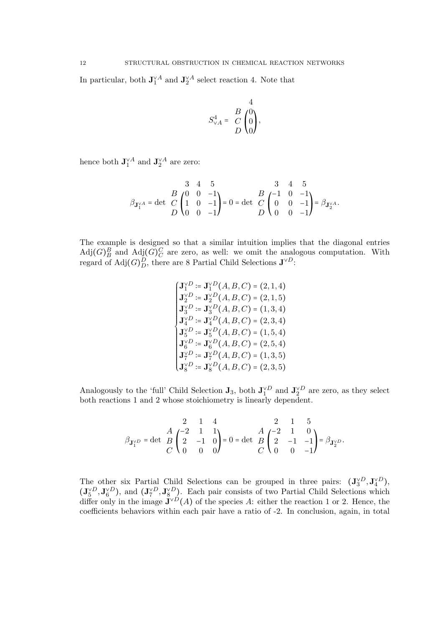In particular, both  $J_1^{\vee A}$  and  $J_2^{\vee A}$  select reaction 4. Note that

$$
S_{\vee A}^4 = \begin{pmatrix} B & 4 \\ C & 0 \\ D & 0 \end{pmatrix},
$$

hence both  $\mathbf{J}_{1}^{\vee A}$  and  $\mathbf{J}_{2}^{\vee A}$  are zero:

$$
\beta_{\mathbf{J}_{1}^{\vee A}} = \det \begin{array}{c} 3 & 4 & 5 \\ B & 0 & 0 & -1 \\ C & 1 & 0 & -1 \\ D & 0 & 0 & -1 \end{array} = 0 = \det \begin{array}{c} 3 & 4 & 5 \\ C & 0 & 0 & -1 \\ D & 0 & 0 & -1 \end{array} = \beta_{\mathbf{J}_{2}^{\vee A}}.
$$

The example is designed so that a similar intuition implies that the diagonal entries  $\text{Adj}(G)_B^B$  and  $\text{Adj}(G)_C^C$  are zero, as well: we omit the analogous computation. With regard of  $\text{Adj}(G)_D^D$ , there are 8 Partial Child Selections  $\mathbf{J}^{\vee D}$ :

$$
\begin{cases}\n\mathbf{J}_{1}^{\vee D} := \mathbf{J}_{1}^{\vee D}(A, B, C) = (2, 1, 4) \\
\mathbf{J}_{2}^{\vee D} := \mathbf{J}_{2}^{\vee D}(A, B, C) = (2, 1, 5) \\
\mathbf{J}_{3}^{\vee D} := \mathbf{J}_{3}^{\vee D}(A, B, C) = (1, 3, 4) \\
\mathbf{J}_{4}^{\vee D} := \mathbf{J}_{4}^{\vee D}(A, B, C) = (2, 3, 4) \\
\mathbf{J}_{5}^{\vee D} := \mathbf{J}_{5}^{\vee D}(A, B, C) = (1, 5, 4) \\
\mathbf{J}_{6}^{\vee D} := \mathbf{J}_{6}^{\vee D}(A, B, C) = (2, 5, 4) \\
\mathbf{J}_{7}^{\vee D} := \mathbf{J}_{7}^{\vee D}(A, B, C) = (1, 3, 5) \\
\mathbf{J}_{8}^{\vee D} := \mathbf{J}_{8}^{\vee D}(A, B, C) = (2, 3, 5)\n\end{cases}
$$

Analogously to the 'full' Child Selection  $J_3$ , both  $J_1^{\vee D}$  and  $J_2^{\vee D}$  are zero, as they select both reactions 1 and 2 whose stoichiometry is linearly dependent.

$$
\beta_{\mathbf{J}_{1}^{\vee D}}=\det\begin{array}{c}2\\ B\\ C\end{array}\begin{pmatrix}2\\ 2\\ 2\\ C\end{pmatrix}\begin{array}{c}1\\ 1\\ 0\\ 0\end{array}=0=\det\begin{array}{c}A\\ B\\ C\end{array}\begin{pmatrix}-2\\ 2\\ 2\\ C\end{pmatrix}\begin{array}{c}1\\ 0\\ 0\\ 0\end{array}-1\end{array}\begin{array}{c}5\\ -A\\ -1\\ -1\end{array}\begin{pmatrix}5\\ -B\\ -B\\ \end{pmatrix}=\beta_{\mathbf{J}_{2}^{\vee D}}.
$$

The other six Partial Child Selections can be grouped in three pairs:  $(\mathbf{J}_{3}^{\vee D}, \mathbf{J}_{4}^{\vee D})$ ,  $(\mathbf{J}_{5}^{\vee D}, \mathbf{J}_{6}^{\vee D})$ , and  $(\mathbf{J}_{7}^{\vee D}, \mathbf{J}_{8}^{\vee D})$ . Each pair consists of two Partial Child Selections which differ only in the image  $J^{\vee D}(A)$  of the species A: either the reaction 1 or 2. Hence, the coefficients behaviors within each pair have a ratio of -2. In conclusion, again, in total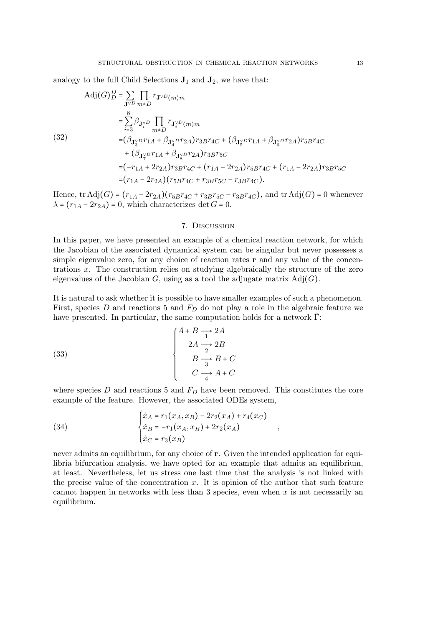analogy to the full Child Selections  $J_1$  and  $J_2$ , we have that:

Adj(*G*)<sup>*D*</sup><sub>*D*</sub> = 
$$
\sum_{\mathbf{J}^{\vee D}} \prod_{m \neq D} r_{\mathbf{J}^{\vee D}(m)m}
$$
  
\n=  $\sum_{i=3}^{8} \beta_{\mathbf{J}^{\vee D}_i} \prod_{m \neq D} r_{\mathbf{J}^{\vee D}_i(m)m}$   
\n(32)  
\n=  $(\beta_{\mathbf{J}^{\vee}_{3}D}r_{1A} + \beta_{\mathbf{J}^{\vee}_{4}D}r_{2A})r_{3B}r_{4C} + (\beta_{\mathbf{J}^{\vee}_{5}D}r_{1A} + \beta_{\mathbf{J}^{\vee}_{6}D}r_{2A})r_{5B}r_{4C}$   
\n+  $(\beta_{\mathbf{J}^{\vee}_{7}D}r_{1A} + \beta_{\mathbf{J}^{\vee}_{8}D}r_{2A})r_{3B}r_{5C}$   
\n=  $(-r_{1A} + 2r_{2A})r_{3B}r_{4C} + (r_{1A} - 2r_{2A})r_{5B}r_{4C} + (r_{1A} - 2r_{2A})r_{3B}r_{5C}$   
\n=  $(r_{1A} - 2r_{2A})(r_{5B}r_{4C} + r_{3B}r_{5C} - r_{3B}r_{4C}).$ 

Hence, tr Adj $(G) = (r_{1A} - 2r_{2A})(r_{5B}r_{4C} + r_{3B}r_{5C} - r_{3B}r_{4C})$ , and tr Adj $(G) = 0$  whenever  $\lambda = (r_{1A} - 2r_{2A}) = 0$ , which characterizes det  $G = 0$ .

#### 7. Discussion

<span id="page-12-0"></span>In this paper, we have presented an example of a chemical reaction network, for which the Jacobian of the associated dynamical system can be singular but never possesses a simple eigenvalue zero, for any choice of reaction rates  $\bf{r}$  and any value of the concentrations x. The construction relies on studying algebraically the structure of the zero eigenvalues of the Jacobian  $G$ , using as a tool the adjugate matrix  $\text{Adj}(G)$ .

It is natural to ask whether it is possible to have smaller examples of such a phenomenon. First, species D and reactions 5 and  $F<sub>D</sub>$  do not play a role in the algebraic feature we have presented. In particular, the same computation holds for a network  $\Gamma$ :

(33)  

$$
\begin{cases}\nA+B \longrightarrow 2A \\
2A \longrightarrow 2B \\
B \longrightarrow B+C \\
C \longrightarrow A+C\n\end{cases}
$$

where species  $D$  and reactions 5 and  $F<sub>D</sub>$  have been removed. This constitutes the core example of the feature. However, the associated ODEs system,

,

(34) 
$$
\begin{cases} \n\dot{x}_A = r_1(x_A, x_B) - 2r_2(x_A) + r_4(x_C) \\
\dot{x}_B = -r_1(x_A, x_B) + 2r_2(x_A) \\
\dot{x}_C = r_3(x_B)\n\end{cases}
$$

never admits an equilibrium, for any choice of r. Given the intended application for equilibria bifurcation analysis, we have opted for an example that admits an equilibrium, at least. Nevertheless, let us stress one last time that the analysis is not linked with the precise value of the concentration  $x$ . It is opinion of the author that such feature cannot happen in networks with less than 3 species, even when  $x$  is not necessarily an equilibrium.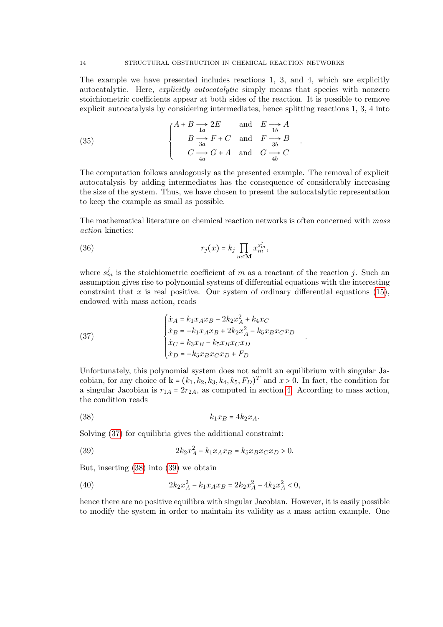The example we have presented includes reactions 1, 3, and 4, which are explicitly autocatalytic. Here, explicitly autocatalytic simply means that species with nonzero stoichiometric coefficients appear at both sides of the reaction. It is possible to remove explicit autocatalysis by considering intermediates, hence splitting reactions 1, 3, 4 into

.

<span id="page-13-1"></span>.

(35) 
$$
\begin{cases} A+B \xrightarrow{1a} 2E & \text{and} \quad E \xrightarrow{1b} A \\ B \xrightarrow{3a} F+C & \text{and} \quad F \xrightarrow{3b} B \\ C \xrightarrow{4a} G+A & \text{and} \quad G \xrightarrow{4b} C \end{cases}
$$

The computation follows analogously as the presented example. The removal of explicit autocatalysis by adding intermediates has the consequence of considerably increasing the size of the system. Thus, we have chosen to present the autocatalytic representation to keep the example as small as possible.

The mathematical literature on chemical reaction networks is often concerned with mass action kinetics:

(36) 
$$
r_j(x) = k_j \prod_{m \in \mathbf{M}} x_m^{s_m^j},
$$

where  $s_m^j$  is the stoichiometric coefficient of m as a reactant of the reaction j. Such an assumption gives rise to polynomial systems of differential equations with the interesting constraint that x is real positive. Our system of ordinary differential equations  $(15)$ , endowed with mass action, reads

<span id="page-13-0"></span>(37) 
$$
\begin{cases} \n\dot{x}_A = k_1 x_A x_B - 2k_2 x_A^2 + k_4 x_C \\
\dot{x}_B = -k_1 x_A x_B + 2k_2 x_A^2 - k_5 x_B x_C x_D \\
\dot{x}_C = k_3 x_B - k_5 x_B x_C x_D \\
\dot{x}_D = -k_5 x_B x_C x_D + F_D\n\end{cases}
$$

Unfortunately, this polynomial system does not admit an equilibrium with singular Jacobian, for any choice of  $\mathbf{k} = (k_1, k_2, k_3, k_4, k_5, F_D)^T$  and  $x > 0$ . In fact, the condition for a singular Jacobian is  $r_{1A} = 2r_{2A}$ , as computed in section [4.](#page-6-0) According to mass action, the condition reads

$$
(38) \t\t k_1 x_B = 4k_2 x_A.
$$

Solving [\(37\)](#page-13-0) for equilibria gives the additional constraint:

<span id="page-13-2"></span>(39) 
$$
2k_2x_A^2 - k_1x_Ax_B = k_5x_Bx_Cx_D > 0.
$$

But, inserting [\(38\)](#page-13-1) into [\(39\)](#page-13-2) we obtain

(40) 
$$
2k_2x_A^2 - k_1x_Ax_B = 2k_2x_A^2 - 4k_2x_A^2 < 0,
$$

hence there are no positive equilibra with singular Jacobian. However, it is easily possible to modify the system in order to maintain its validity as a mass action example. One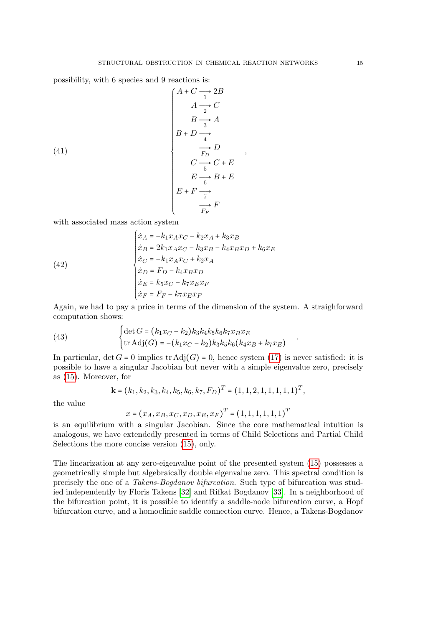,

.

possibility, with 6 species and 9 reactions is:

(41)  
\n
$$
\begin{array}{c}\nA + C \longrightarrow 2B \\
A \longrightarrow C \\
B \longrightarrow A \\
B + D \longrightarrow A \\
\hline\n\uparrow D \\
C \longrightarrow C + E \\
E \longrightarrow B + E \\
E \longrightarrow B + E \\
E \longrightarrow F\n\end{array}
$$

with associated mass action system

(42)  
\n
$$
\begin{cases}\n\dot{x}_A = -k_1 x_A x_C - k_2 x_A + k_3 x_B \\
\dot{x}_B = 2k_1 x_A x_C - k_3 x_B - k_4 x_B x_D + k_6 x_E \\
\dot{x}_C = -k_1 x_A x_C + k_2 x_A \\
\dot{x}_D = F_D - k_4 x_B x_D \\
\dot{x}_E = k_5 x_C - k_7 x_E x_F \\
\dot{x}_F = F_F - k_7 x_E x_F\n\end{cases}
$$

Again, we had to pay a price in terms of the dimension of the system. A straighforward computation shows:

(43) 
$$
\begin{cases} \det G = (k_1 x_C - k_2) k_3 k_4 k_5 k_6 k_7 x_B x_E \\ \text{tr Adj}(G) = -(k_1 x_C - k_2) k_3 k_5 k_6 (k_4 x_B + k_7 x_E) \end{cases}
$$

In particular,  $\det G = 0$  implies  $\text{tr} \text{Adj}(G) = 0$ , hence system [\(17\)](#page-7-1) is never satisfied: it is possible to have a singular Jacobian but never with a simple eigenvalue zero, precisely as [\(15\)](#page-6-1). Moreover, for

$$
\mathbf{k} = (k_1, k_2, k_3, k_4, k_5, k_6, k_7, F_D)^T = (1, 1, 2, 1, 1, 1, 1, 1)^T,
$$

the value

$$
x = (x_A, x_B, x_C, x_D, x_E, x_F)^T = (1, 1, 1, 1, 1, 1)^T
$$

is an equilibrium with a singular Jacobian. Since the core mathematical intuition is analogous, we have extendedly presented in terms of Child Selections and Partial Child Selections the more concise version [\(15\)](#page-6-1), only.

The linearization at any zero-eigenvalue point of the presented system [\(15\)](#page-6-1) possesses a geometrically simple but algebraically double eigenvalue zero. This spectral condition is precisely the one of a Takens-Bogdanov bifurcation. Such type of bifurcation was studied independently by Floris Takens [\[32\]](#page-17-5) and Rifkat Bogdanov [\[33\]](#page-17-6). In a neighborhood of the bifurcation point, it is possible to identify a saddle-node bifurcation curve, a Hopf bifurcation curve, and a homoclinic saddle connection curve. Hence, a Takens-Bogdanov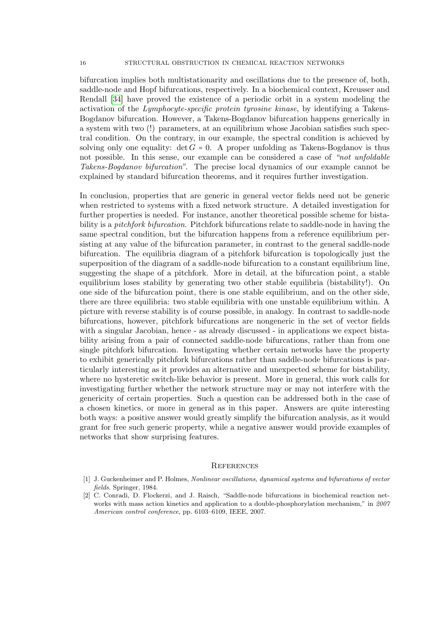bifurcation implies both multistationarity and oscillations due to the presence of, both, saddle-node and Hopf bifurcations, respectively. In a biochemical context, Kreusser and Rendall [\[34\]](#page-17-7) have proved the existence of a periodic orbit in a system modeling the activation of the Lymphocyte-specific protein tyrosine kinase, by identifying a Takens-Bogdanov bifurcation. However, a Takens-Bogdanov bifurcation happens generically in a system with two (!) parameters, at an equilibrium whose Jacobian satisfies such spectral condition. On the contrary, in our example, the spectral condition is achieved by solving only one equality:  $\det G = 0$ . A proper unfolding as Takens-Bogdanov is thus not possible. In this sense, our example can be considered a case of "not unfoldable Takens-Bogdanov bifurcation". The precise local dynamics of our example cannot be explained by standard bifurcation theorems, and it requires further investigation.

In conclusion, properties that are generic in general vector fields need not be generic when restricted to systems with a fixed network structure. A detailed investigation for further properties is needed. For instance, another theoretical possible scheme for bistability is a *pitchfork bifurcation*. Pitchfork bifurcations relate to saddle-node in having the same spectral condition, but the bifurcation happens from a reference equilibrium persisting at any value of the bifurcation parameter, in contrast to the general saddle-node bifurcation. The equilibria diagram of a pitchfork bifurcation is topologically just the superposition of the diagram of a saddle-node bifurcation to a constant equilibrium line, suggesting the shape of a pitchfork. More in detail, at the bifurcation point, a stable equilibrium loses stability by generating two other stable equilibria (bistability!). On one side of the bifurcation point, there is one stable equilibrium, and on the other side, there are three equilibria: two stable equilibria with one unstable equilibrium within. A picture with reverse stability is of course possible, in analogy. In contrast to saddle-node bifurcations, however, pitchfork bifurcations are nongeneric in the set of vector fields with a singular Jacobian, hence - as already discussed - in applications we expect bistability arising from a pair of connected saddle-node bifurcations, rather than from one single pitchfork bifurcation. Investigating whether certain networks have the property to exhibit generically pitchfork bifurcations rather than saddle-node bifurcations is particularly interesting as it provides an alternative and unexpected scheme for bistability, where no hysteretic switch-like behavior is present. More in general, this work calls for investigating further whether the network structure may or may not interfere with the genericity of certain properties. Such a question can be addressed both in the case of a chosen kinetics, or more in general as in this paper. Answers are quite interesting both ways: a positive answer would greatly simplify the bifurcation analysis, as it would grant for free such generic property, while a negative answer would provide examples of networks that show surprising features.

#### <span id="page-15-0"></span>**REFERENCES**

- <span id="page-15-1"></span>[1] J. Guckenheimer and P. Holmes, Nonlinear oscillations, dynamical systems and bifurcations of vector fields. Springer, 1984.
- <span id="page-15-2"></span>[2] C. Conradi, D. Flockerzi, and J. Raisch, "Saddle-node bifurcations in biochemical reaction networks with mass action kinetics and application to a double-phosphorylation mechanism," in 2007 American control conference, pp. 6103–6109, IEEE, 2007.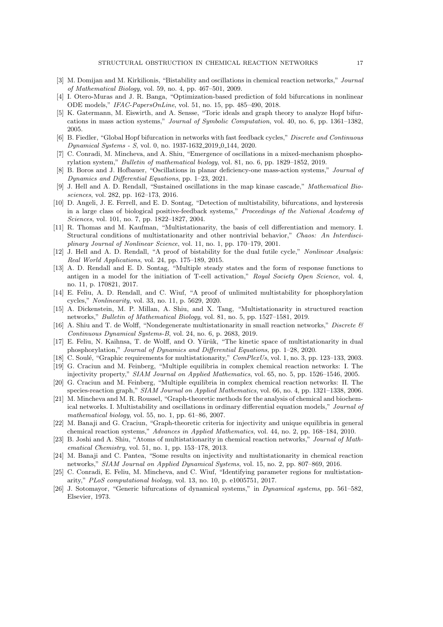- <span id="page-16-0"></span>[3] M. Domijan and M. Kirkilionis, "Bistability and oscillations in chemical reaction networks," Journal of Mathematical Biology, vol. 59, no. 4, pp. 467–501, 2009.
- <span id="page-16-1"></span>[4] I. Otero-Muras and J. R. Banga, "Optimization-based prediction of fold bifurcations in nonlinear ODE models," IFAC-PapersOnLine, vol. 51, no. 15, pp. 485–490, 2018.
- <span id="page-16-2"></span>[5] K. Gatermann, M. Eiswirth, and A. Sensse, "Toric ideals and graph theory to analyze Hopf bifurcations in mass action systems," Journal of Symbolic Computation, vol. 40, no. 6, pp. 1361–1382, 2005.
- <span id="page-16-3"></span>[6] B. Fiedler, "Global Hopf bifurcation in networks with fast feedback cycles," Discrete and Continuous Dynamical Systems - S, vol. 0, no. 1937-1632 2019 0 144, 2020.
- <span id="page-16-4"></span>[7] C. Conradi, M. Mincheva, and A. Shiu, "Emergence of oscillations in a mixed-mechanism phosphorylation system," Bulletin of mathematical biology, vol. 81, no. 6, pp. 1829–1852, 2019.
- <span id="page-16-5"></span>[8] B. Boros and J. Hofbauer, "Oscillations in planar deficiency-one mass-action systems," Journal of Dynamics and Differential Equations, pp. 1–23, 2021.
- <span id="page-16-6"></span>[9] J. Hell and A. D. Rendall, "Sustained oscillations in the map kinase cascade," Mathematical Biosciences, vol. 282, pp. 162–173, 2016.
- <span id="page-16-7"></span>[10] D. Angeli, J. E. Ferrell, and E. D. Sontag, "Detection of multistability, bifurcations, and hysteresis in a large class of biological positive-feedback systems," Proceedings of the National Academy of Sciences, vol. 101, no. 7, pp. 1822–1827, 2004.
- <span id="page-16-8"></span>[11] R. Thomas and M. Kaufman, "Multistationarity, the basis of cell differentiation and memory. I. Structural conditions of multistationarity and other nontrivial behavior," Chaos: An Interdisciplinary Journal of Nonlinear Science, vol. 11, no. 1, pp. 170–179, 2001.
- <span id="page-16-9"></span>[12] J. Hell and A. D. Rendall, "A proof of bistability for the dual futile cycle," Nonlinear Analysis: Real World Applications, vol. 24, pp. 175–189, 2015.
- [13] A. D. Rendall and E. D. Sontag, "Multiple steady states and the form of response functions to antigen in a model for the initiation of T-cell activation," Royal Society Open Science, vol. 4, no. 11, p. 170821, 2017.
- <span id="page-16-10"></span>[14] E. Feliu, A. D. Rendall, and C. Wiuf, "A proof of unlimited multistability for phosphorylation cycles," Nonlinearity, vol. 33, no. 11, p. 5629, 2020.
- <span id="page-16-11"></span>[15] A. Dickenstein, M. P. Millan, A. Shiu, and X. Tang, "Multistationarity in structured reaction networks," Bulletin of Mathematical Biology, vol. 81, no. 5, pp. 1527–1581, 2019.
- <span id="page-16-12"></span>[16] A. Shiu and T. de Wolff, "Nondegenerate multistationarity in small reaction networks," Discrete  $\mathcal{B}$ Continuous Dynamical Systems-B, vol. 24, no. 6, p. 2683, 2019.
- <span id="page-16-13"></span>[17] E. Feliu, N. Kaihnsa, T. de Wolff, and O. Yürük, "The kinetic space of multistationarity in dual phosphorylation," Journal of Dynamics and Differential Equations, pp. 1–28, 2020.
- <span id="page-16-15"></span><span id="page-16-14"></span>[18] C. Soulé, "Graphic requirements for multistationarity," ComPlexUs, vol. 1, no. 3, pp. 123–133, 2003. [19] G. Craciun and M. Feinberg, "Multiple equilibria in complex chemical reaction networks: I. The injectivity property," SIAM Journal on Applied Mathematics, vol. 65, no. 5, pp. 1526–1546, 2005.
- <span id="page-16-16"></span>[20] G. Craciun and M. Feinberg, "Multiple equilibria in complex chemical reaction networks: II. The species-reaction graph," SIAM Journal on Applied Mathematics, vol. 66, no. 4, pp. 1321–1338, 2006.
- <span id="page-16-17"></span>[21] M. Mincheva and M. R. Roussel, "Graph-theoretic methods for the analysis of chemical and biochemical networks. I. Multistability and oscillations in ordinary differential equation models," Journal of mathematical biology, vol. 55, no. 1, pp. 61–86, 2007.
- <span id="page-16-18"></span>[22] M. Banaji and G. Craciun, "Graph-theoretic criteria for injectivity and unique equilibria in general chemical reaction systems," Advances in Applied Mathematics, vol. 44, no. 2, pp. 168–184, 2010.
- <span id="page-16-19"></span>[23] B. Joshi and A. Shiu, "Atoms of multistationarity in chemical reaction networks," Journal of Mathematical Chemistry, vol. 51, no. 1, pp. 153–178, 2013.
- <span id="page-16-20"></span>[24] M. Banaji and C. Pantea, "Some results on injectivity and multistationarity in chemical reaction networks," SIAM Journal on Applied Dynamical Systems, vol. 15, no. 2, pp. 807–869, 2016.
- <span id="page-16-21"></span>[25] C. Conradi, E. Feliu, M. Mincheva, and C. Wiuf, "Identifying parameter regions for multistationarity," PLoS computational biology, vol. 13, no. 10, p. e1005751, 2017.
- <span id="page-16-22"></span>[26] J. Sotomayor, "Generic bifurcations of dynamical systems," in Dynamical systems, pp. 561–582, Elsevier, 1973.